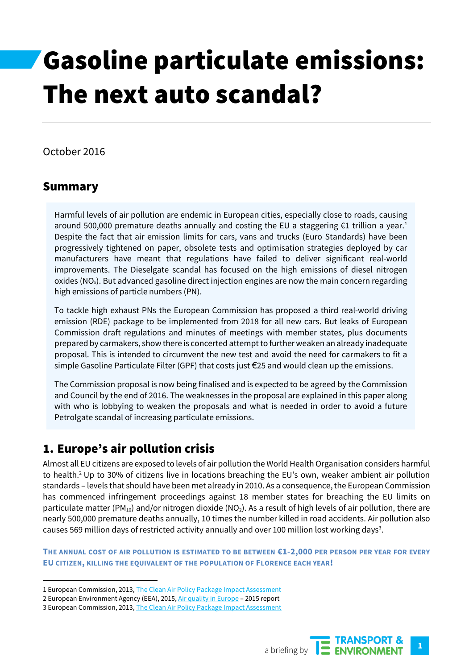# Gasoline particulate emissions: The next auto scandal?

## October 2016

## Summary

Harmful levels of air pollution are endemic in European cities, especially close to roads, causing around 500,000 premature deaths annually and costing the EU a staggering €1 trillion a year.<sup>1</sup> Despite the fact that air emission limits for cars, vans and trucks (Euro Standards) have been progressively tightened on paper, obsolete tests and optimisation strategies deployed by car manufacturers have meant that regulations have failed to deliver significant real-world improvements. The Dieselgate scandal has focused on the high emissions of diesel nitrogen oxides (NO<sub>x</sub>). But advanced gasoline direct injection engines are now the main concern regarding high emissions of particle numbers (PN).

To tackle high exhaust PNs the European Commission has proposed a third real-world driving emission (RDE) package to be implemented from 2018 for all new cars. But leaks of European Commission draft regulations and minutes of meetings with member states, plus documents prepared by carmakers, show there is concerted attempt to further weaken an already inadequate proposal. This is intended to circumvent the new test and avoid the need for carmakers to fit a simple Gasoline Particulate Filter (GPF) that costs just €25 and would clean up the emissions.

The Commission proposal is now being finalised and is expected to be agreed by the Commission and Council by the end of 2016. The weaknesses in the proposal are explained in this paper along with who is lobbying to weaken the proposals and what is needed in order to avoid a future Petrolgate scandal of increasing particulate emissions.

# 1. Europe's air pollution crisis

Almost all EU citizens are exposed to levels of air pollution the World Health Organisation considers harmful to health.<sup>2</sup> Up to 30% of citizens live in locations breaching the EU's own, weaker ambient air pollution standards – levels that should have been met already in 2010. As a consequence, the European Commission has commenced infringement proceedings against 18 member states for breaching the EU limits on particulate matter (PM<sub>10</sub>) and/or nitrogen dioxide (NO<sub>2</sub>). As a result of high levels of air pollution, there are nearly 500,000 premature deaths annually, 10 times the number killed in road accidents. Air pollution also causes 569 million days of restricted activity annually and over 100 million lost working days<sup>3</sup>.

**THE ANNUAL COST OF AIR POLLUTION IS ESTIMATED TO BE BETWEEN €1-2,000 PER PERSON PER YEAR FOR EVERY EU CITIZEN, KILLING THE EQUIVALENT OF THE POPULATION OF FLORENCE EACH YEAR!**

<sup>3</sup> European Commission, 2013[, The Clean Air Policy Package Impact Assessment](http://ec.europa.eu/environment/archives/air/pdf/Impact_assessment_en.pdf)



<sup>1</sup> European Commission, 2013[, The Clean Air Policy Package Impact Assessment](http://ec.europa.eu/environment/archives/air/pdf/Impact_assessment_en.pdf)

<sup>2</sup> European Environment Agency (EEA), 2015[, Air quality in Europe](http://www.eea.europa.eu/publications/air-quality-in-europe-2015/at_download/file) - 2015 report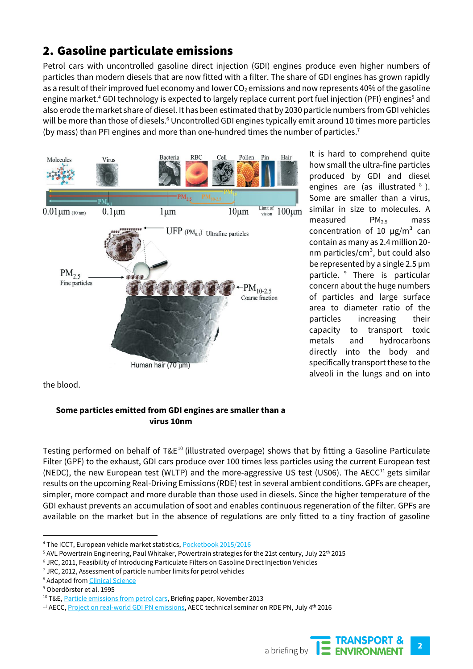# 2. Gasoline particulate emissions

Petrol cars with uncontrolled gasoline direct injection (GDI) engines produce even higher numbers of particles than modern diesels that are now fitted with a filter. The share of GDI engines has grown rapidly as a result of their improved fuel economy and lower  $CO<sub>2</sub>$  emissions and now represents 40% of the gasoline engine market.<sup>4</sup> GDI technology is expected to largely replace current port fuel injection (PFI) engines<sup>5</sup> and also erode the market share of diesel. It has been estimated that by 2030 particle numbers from GDI vehicles will be more than those of diesels.<sup>6</sup> Uncontrolled GDI engines typically emit around 10 times more particles (by mass) than PFI engines and more than one-hundred times the number of particles.<sup>7</sup>



It is hard to comprehend quite how small the ultra-fine particles produced by GDI and diesel engines are (as illustrated <sup>8</sup>). Some are smaller than a virus, similar in size to molecules. A measured  $PM_{2.5}$  mass concentration of 10  $\mu$ g/m<sup>3</sup> can contain as many as 2.4 million 20 nm particles/ $\text{cm}^3$ , but could also be represented by a single 2.5 µm particle. <sup>9</sup> There is particular concern about the huge numbers of particles and large surface area to diameter ratio of the particles increasing their capacity to transport toxic metals and hydrocarbons directly into the body and specifically transport these to the alveoli in the lungs and on into

the blood.

#### **Some particles emitted from GDI engines are smaller than a virus 10nm**

Testing performed on behalf of T&E<sup>10</sup> (illustrated overpage) shows that by fitting a Gasoline Particulate Filter (GPF) to the exhaust, GDI cars produce over 100 times less particles using the current European test (NEDC), the new European test (WLTP) and the more-aggressive US test (US06). The AECC<sup>11</sup> gets similar results on the upcoming Real-Driving Emissions (RDE) test in several ambient conditions. GPFs are cheaper, simpler, more compact and more durable than those used in diesels. Since the higher temperature of the GDI exhaust prevents an accumulation of soot and enables continuous regeneration of the filter. GPFs are available on the market but in the absence of regulations are only fitted to a tiny fraction of gasoline

<sup>&</sup>lt;sup>11</sup> AECC, *Project on real-world GDI PN emissions*, AECC technical seminar on RDE PN, July 4<sup>th</sup> 2016



 $\overline{a}$ <sup>4</sup> The ICCT, European vehicle market statistics[, Pocketbook 2015/2016](http://www.theicct.org/sites/default/files/publications/ICCT_EU-pocketbook_2015.pdf)

<sup>&</sup>lt;sup>5</sup> AVL Powertrain Engineering, Paul Whitaker, Powertrain strategies for the 21st century, July 22<sup>th</sup> 2015

<sup>&</sup>lt;sup>6</sup> JRC, 2011, Feasibility of Introducing Particulate Filters on Gasoline Direct Injection Vehicles

 $7$  JRC, 2012, Assessment of particle number limits for petrol vehicles

<sup>8</sup> Adapted fro[m Clinical Science](http://www.clinsci.org/content/115/6/175.figures-only)

<sup>9</sup> Oberdörster et al. 1995

<sup>&</sup>lt;sup>10</sup> T&E, **Particle emissions from petrol cars**, Briefing paper, November 2013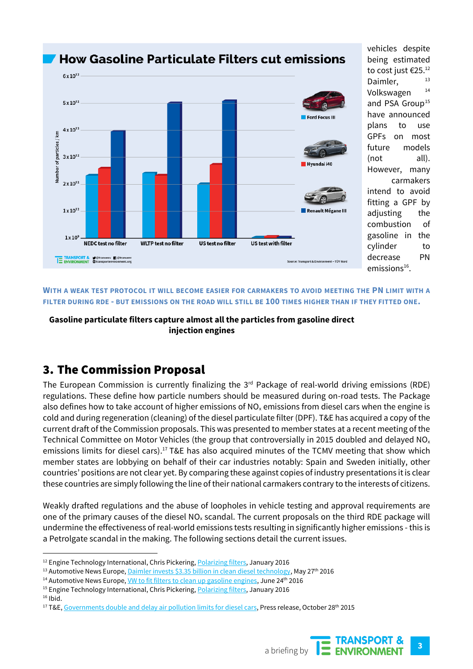

vehicles despite being estimated to cost just €25.<sup>12</sup> Daimler, 13 Volkswagen 14 and PSA Group<sup>15</sup> have announced plans to use GPFs on most future models (not all). However, many carmakers intend to avoid fitting a GPF by adjusting the combustion of gasoline in the cylinder to decrease PN emissions<sup>16</sup>.

#### **WITH A WEAK TEST PROTOCOL IT WILL BECOME EASIER FOR CARMAKERS TO AVOID MEETING THE PN LIMIT WITH A FILTER DURING RDE - BUT EMISSIONS ON THE ROAD WILL STILL BE 100 TIMES HIGHER THAN IF THEY FITTED ONE.**

#### **Gasoline particulate filters capture almost all the particles from gasoline direct injection engines**

# 3. The Commission Proposal

The European Commission is currently finalizing the 3<sup>rd</sup> Package of real-world driving emissions (RDE) regulations. These define how particle numbers should be measured during on-road tests. The Package also defines how to take account of higher emissions of  $NO<sub>x</sub>$  emissions from diesel cars when the engine is cold and during regeneration (cleaning) of the diesel particulate filter (DPF). T&E has acquired a copy of the current draft of the Commission proposals. This was presented to member states at a recent meeting of the Technical Committee on Motor Vehicles (the group that controversially in 2015 doubled and delayed NO<sub>x</sub> emissions limits for diesel cars).<sup>17</sup> T&E has also acquired minutes of the TCMV meeting that show which member states are lobbying on behalf of their car industries notably: Spain and Sweden initially, other countries' positions are not clear yet. By comparing these against copies of industry presentations it is clear these countries are simply following the line of their national carmakers contrary to the interests of citizens.

Weakly drafted regulations and the abuse of loopholes in vehicle testing and approval requirements are one of the primary causes of the diesel  $NO<sub>x</sub>$  scandal. The current proposals on the third RDE package will undermine the effectiveness of real-world emissions tests resulting in significantly higher emissions - this is a Petrolgate scandal in the making. The following sections detail the current issues.

 $16$  Ibid.

<sup>&</sup>lt;sup>12</sup> Engine Technology International, Chris Pickering[, Polarizing filters,](http://viewer.zmags.com/publication/0b7ebb6c#/0b7ebb6c/40) January 2016

<sup>&</sup>lt;sup>13</sup> [Automotive](http://europe.autonews.com/article/20160527/ANE/160529896) News Europe[, Daimler invests \\$3.35 billion in clean diesel technology,](http://europe.autonews.com/article/20160527/ANE/160529896) May 27<sup>th</sup> 2016

<sup>&</sup>lt;sup>14</sup> [Automotive](http://europe.autonews.com/article/20160624/ANE/160629934) News Europe, <u>VW to fit filters to clean up gasoline engines</u>, June 24<sup>th</sup> 2016

<sup>&</sup>lt;sup>15</sup> Engine Technology International, Chris Pickering[, Polarizing filters,](http://viewer.zmags.com/publication/0b7ebb6c#/0b7ebb6c/40) January 2016

<sup>&</sup>lt;sup>17</sup> T&E[, Governments double and delay air pollution limits for diesel cars,](https://www.transportenvironment.org/press/governments-double-and-delay-air-pollution-limits-diesel-cars) Press release, October 28<sup>th</sup> 2015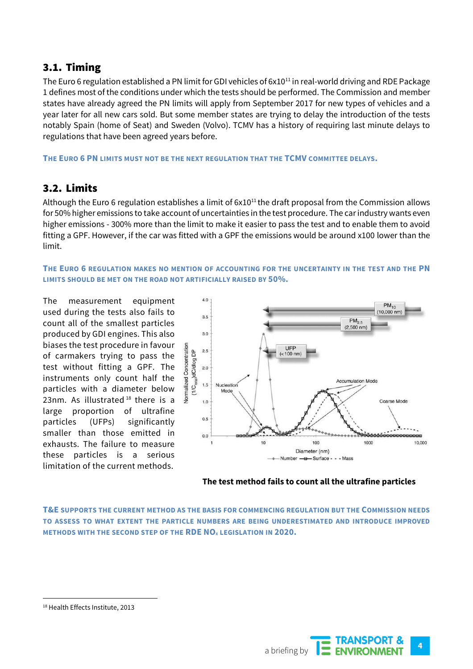#### 3.1. Timing

The Euro 6 regulation established a PN limit for GDI vehicles of 6x10<sup>11</sup> in real-world driving and RDE Package 1 defines most of the conditions under which the tests should be performed. The Commission and member states have already agreed the PN limits will apply from September 2017 for new types of vehicles and a year later for all new cars sold. But some member states are trying to delay the introduction of the tests notably Spain (home of Seat) and Sweden (Volvo). TCMV has a history of requiring last minute delays to regulations that have been agreed years before.

**THE EURO 6 PN LIMITS MUST NOT BE THE NEXT REGULATION THAT THE TCMV COMMITTEE DELAYS.**

#### 3.2. Limits

Although the Euro 6 regulation establishes a limit of  $6x10<sup>11</sup>$  the draft proposal from the Commission allows for 50% higher emissions to take account of uncertainties in the test procedure. The car industry wants even higher emissions - 300% more than the limit to make it easier to pass the test and to enable them to avoid fitting a GPF. However, if the car was fitted with a GPF the emissions would be around x100 lower than the limit.

**THE EURO 6 REGULATION MAKES NO MENTION OF ACCOUNTING FOR THE UNCERTAINTY IN THE TEST AND THE PN LIMITS SHOULD BE MET ON THE ROAD NOT ARTIFICIALLY RAISED BY 50%.**

The measurement equipment used during the tests also fails to count all of the smallest particles produced by GDI engines. This also biases the test procedure in favour of carmakers trying to pass the test without fitting a GPF. The instruments only count half the particles with a diameter below 23nm. As illustrated <sup>18</sup> there is a large proportion of ultrafine particles (UFPs) significantly smaller than those emitted in exhausts. The failure to measure these particles is a serious limitation of the current methods.



**The test method fails to count all the ultrafine particles**

**T&E SUPPORTS THE CURRENT METHOD AS THE BASIS FOR COMMENCING REGULATION BUT THE COMMISSION NEEDS TO ASSESS TO WHAT EXTENT THE PARTICLE NUMBERS ARE BEING UNDERESTIMATED AND INTRODUCE IMPROVED METHODS WITH THE SECOND STEP OF THE RDE NO<sup>X</sup> LEGISLATION IN 2020.**

 $\overline{a}$ 



<sup>18</sup> Health Effects Institute, 2013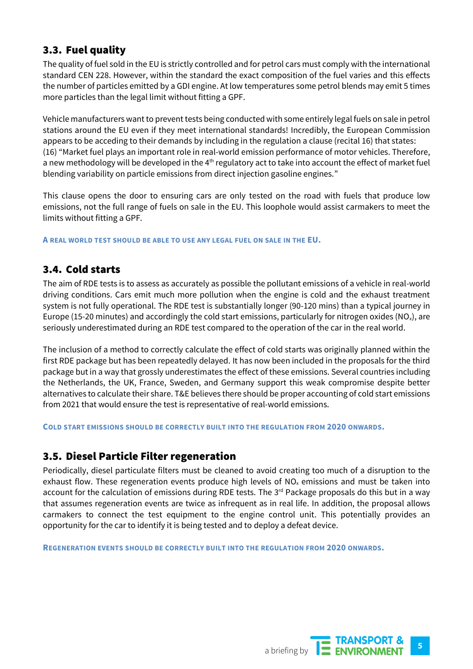## 3.3. Fuel quality

The quality of fuel sold in the EU is strictly controlled and for petrol cars must comply with the international standard CEN 228. However, within the standard the exact composition of the fuel varies and this effects the number of particles emitted by a GDI engine. At low temperatures some petrol blends may emit 5 times more particles than the legal limit without fitting a GPF.

Vehicle manufacturers want to prevent tests being conducted with some entirely legal fuels on sale in petrol stations around the EU even if they meet international standards! Incredibly, the European Commission appears to be acceding to their demands by including in the regulation a clause (recital 16) that states: (16) "Market fuel plays an important role in real-world emission performance of motor vehicles. Therefore, a new methodology will be developed in the  $4<sup>th</sup>$  regulatory act to take into account the effect of market fuel blending variability on particle emissions from direct injection gasoline engines."

This clause opens the door to ensuring cars are only tested on the road with fuels that produce low emissions, not the full range of fuels on sale in the EU. This loophole would assist carmakers to meet the limits without fitting a GPF.

**A REAL WORLD TEST SHOULD BE ABLE TO USE ANY LEGAL FUEL ON SALE IN THE EU.**

#### 3.4. Cold starts

The aim of RDE tests is to assess as accurately as possible the pollutant emissions of a vehicle in real-world driving conditions. Cars emit much more pollution when the engine is cold and the exhaust treatment system is not fully operational. The RDE test is substantially longer (90-120 mins) than a typical journey in Europe (15-20 minutes) and accordingly the cold start emissions, particularly for nitrogen oxides (NO<sub>x</sub>), are seriously underestimated during an RDE test compared to the operation of the car in the real world.

The inclusion of a method to correctly calculate the effect of cold starts was originally planned within the first RDE package but has been repeatedly delayed. It has now been included in the proposals for the third package but in a way that grossly underestimates the effect of these emissions. Several countries including the Netherlands, the UK, France, Sweden, and Germany support this weak compromise despite better alternatives to calculate their share. T&E believes there should be proper accounting of cold start emissions from 2021 that would ensure the test is representative of real-world emissions.

**COLD START EMISSIONS SHOULD BE CORRECTLY BUILT INTO THE REGULATION FROM 2020 ONWARDS.**

### 3.5. Diesel Particle Filter regeneration

Periodically, diesel particulate filters must be cleaned to avoid creating too much of a disruption to the exhaust flow. These regeneration events produce high levels of  $NO<sub>x</sub>$  emissions and must be taken into account for the calculation of emissions during RDE tests. The 3<sup>rd</sup> Package proposals do this but in a way that assumes regeneration events are twice as infrequent as in real life. In addition, the proposal allows carmakers to connect the test equipment to the engine control unit. This potentially provides an opportunity for the car to identify it is being tested and to deploy a defeat device.

**REGENERATION EVENTS SHOULD BE CORRECTLY BUILT INTO THE REGULATION FROM 2020 ONWARDS.**